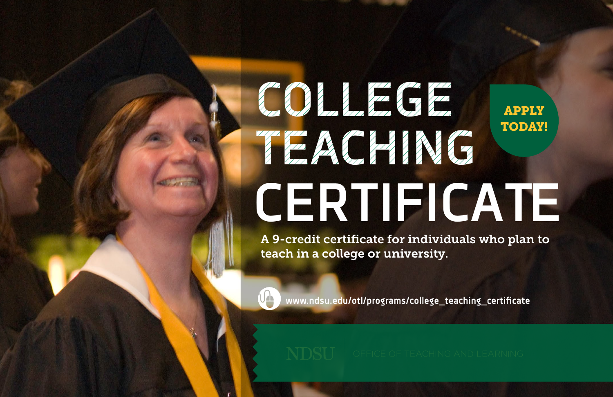# **COLLEGE TEACHING CERTIFICATE** APPLY TODAY!

A 9-credit certificate for individuals who plan to teach in a college or university.



**www.ndsu.edu/otl/programs/college\_teaching\_certificate**